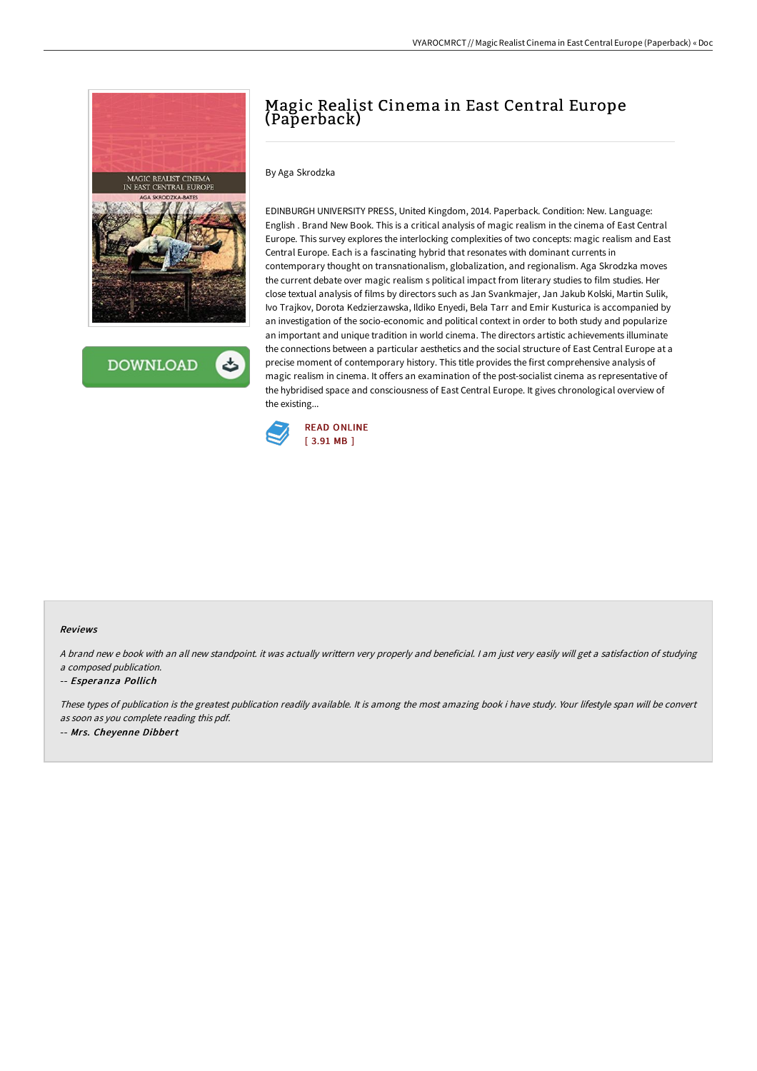

**DOWNLOAD** 

# Magic Realist Cinema in East Central Europe (Paperback)

# By Aga Skrodzka

EDINBURGH UNIVERSITY PRESS, United Kingdom, 2014. Paperback. Condition: New. Language: English . Brand New Book. This is a critical analysis of magic realism in the cinema of East Central Europe. This survey explores the interlocking complexities of two concepts: magic realism and East Central Europe. Each is a fascinating hybrid that resonates with dominant currents in contemporary thought on transnationalism, globalization, and regionalism. Aga Skrodzka moves the current debate over magic realism s political impact from literary studies to film studies. Her close textual analysis of films by directors such as Jan Svankmajer, Jan Jakub Kolski, Martin Sulik, Ivo Trajkov, Dorota Kedzierzawska, Ildiko Enyedi, Bela Tarr and Emir Kusturica is accompanied by an investigation of the socio-economic and political context in order to both study and popularize an important and unique tradition in world cinema. The directors artistic achievements illuminate the connections between a particular aesthetics and the social structure of East Central Europe at a precise moment of contemporary history. This title provides the first comprehensive analysis of magic realism in cinema. It offers an examination of the post-socialist cinema as representative of the hybridised space and consciousness of East Central Europe. It gives chronological overview of the existing...



#### Reviews

<sup>A</sup> brand new <sup>e</sup> book with an all new standpoint. it was actually writtern very properly and beneficial. <sup>I</sup> am just very easily will get <sup>a</sup> satisfaction of studying <sup>a</sup> composed publication.

#### -- Esperanza Pollich

These types of publication is the greatest publication readily available. It is among the most amazing book i have study. Your lifestyle span will be convert as soon as you complete reading this pdf. -- Mrs. Cheyenne Dibbert